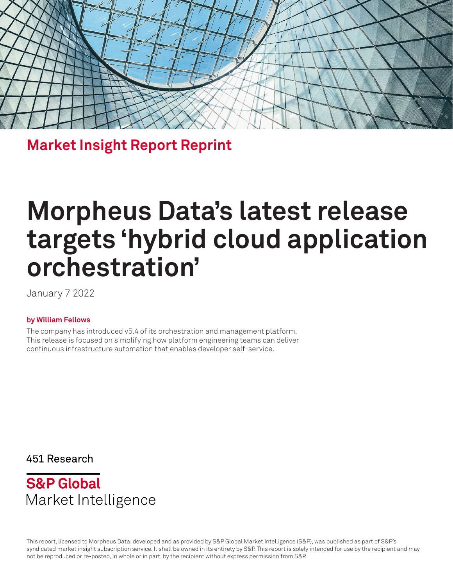

**Market Insight Report Reprint**

# **Morpheus Data's latest release targets 'hybrid cloud application orchestration'**

January 7 2022

#### **by William Fellows**

The company has introduced v5.4 of its orchestration and management platform. This release is focused on simplifying how platform engineering teams can deliver continuous infrastructure automation that enables developer self-service.

451 Research



This report, licensed to Morpheus Data, developed and as provided by S&P Global Market Intelligence (S&P), was published as part of S&P's syndicated market insight subscription service. It shall be owned in its entirety by S&P. This report is solely intended for use by the recipient and may not be reproduced or re-posted, in whole or in part, by the recipient without express permission from S&P.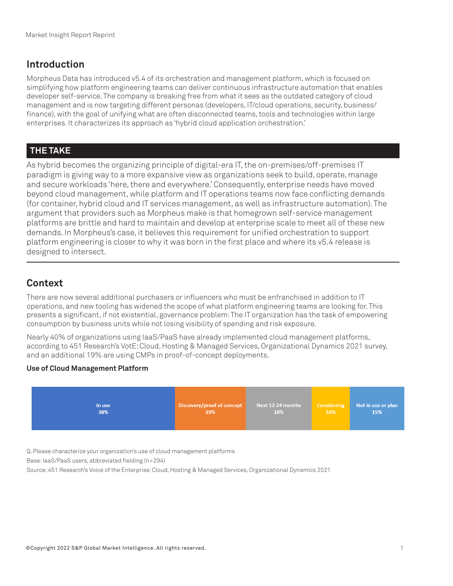## **Introduction**

Morpheus Data has introduced v5.4 of its orchestration and management platform, which is focused on simplifying how platform engineering teams can deliver continuous infrastructure automation that enables developer self-service. The company is breaking free from what it sees as the outdated category of cloud management and is now targeting different personas (developers, IT/cloud operations, security, business/ finance), with the goal of unifying what are often disconnected teams, tools and technologies within large enterprises. It characterizes its approach as 'hybrid cloud application orchestration.'

## **THE TAKE**

As hybrid becomes the organizing principle of digital-era IT, the on-premises/off-premises IT paradigm is giving way to a more expansive view as organizations seek to build, operate, manage and secure workloads 'here, there and everywhere.' Consequently, enterprise needs have moved beyond cloud management, while platform and IT operations teams now face conflicting demands (for container, hybrid cloud and IT services management, as well as infrastructure automation). The argument that providers such as Morpheus make is that homegrown self-service management platforms are brittle and hard to maintain and develop at enterprise scale to meet all of these new demands. In Morpheus's case, it believes this requirement for unified orchestration to support platform engineering is closer to why it was born in the first place and where its v5.4 release is designed to intersect.

## **Context**

There are now several additional purchasers or influencers who must be enfranchised in addition to IT operations, and new tooling has widened the scope of what platform engineering teams are looking for. This presents a significant, if not existential, governance problem: The IT organization has the task of empowering consumption by business units while not losing visibility of spending and risk exposure.

Nearly 40% of organizations using IaaS/PaaS have already implemented cloud management platforms, according to 451 Research's VotE: Cloud, Hosting & Managed Services, Organizational Dynamics 2021 survey, and an additional 19% are using CMPs in proof-of-concept deployments.

#### **Use of Cloud Management Platform**



Q. Please characterize your organization's use of cloud management platforms

Base: IaaS/PaaS users, abbreviated fielding (n=294)

Source: 451 Research's Voice of the Enterprise: Cloud, Hosting & Managed Services, Organizational Dynamics 2021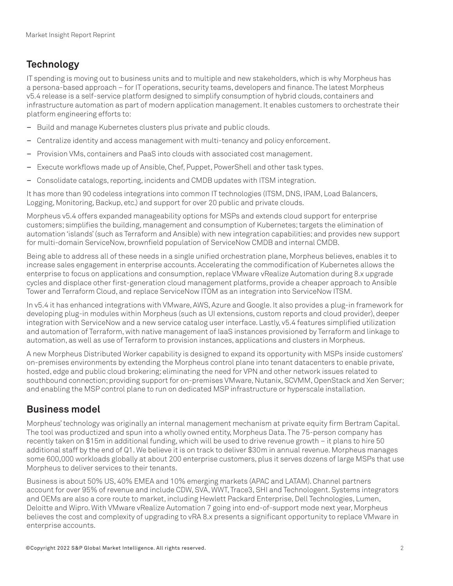# **Technology**

IT spending is moving out to business units and to multiple and new stakeholders, which is why Morpheus has a persona-based approach – for IT operations, security teams, developers and finance. The latest Morpheus v5.4 release is a self-service platform designed to simplify consumption of hybrid clouds, containers and infrastructure automation as part of modern application management. It enables customers to orchestrate their platform engineering efforts to:

- Build and manage Kubernetes clusters plus private and public clouds.
- Centralize identity and access management with multi-tenancy and policy enforcement.
- Provision VMs, containers and PaaS into clouds with associated cost management.
- Execute workflows made up of Ansible, Chef, Puppet, PowerShell and other task types.
- Consolidate catalogs, reporting, incidents and CMDB updates with ITSM integration.

It has more than 90 codeless integrations into common IT technologies (ITSM, DNS, IPAM, Load Balancers, Logging, Monitoring, Backup, etc.) and support for over 20 public and private clouds.

Morpheus v5.4 offers expanded manageability options for MSPs and extends cloud support for enterprise customers; simplifies the building, management and consumption of Kubernetes; targets the elimination of automation 'islands' (such as Terraform and Ansible) with new integration capabilities; and provides new support for multi-domain ServiceNow, brownfield population of ServiceNow CMDB and internal CMDB.

Being able to address all of these needs in a single unified orchestration plane, Morpheus believes, enables it to increase sales engagement in enterprise accounts. Accelerating the commodification of Kubernetes allows the enterprise to focus on applications and consumption, replace VMware vRealize Automation during 8.x upgrade cycles and displace other first-generation cloud management platforms, provide a cheaper approach to Ansible Tower and Terraform Cloud, and replace ServiceNow ITOM as an integration into ServiceNow ITSM.

In v5.4 it has enhanced integrations with VMware, AWS, Azure and Google. It also provides a plug-in framework for developing plug-in modules within Morpheus (such as UI extensions, custom reports and cloud provider), deeper integration with ServiceNow and a new service catalog user interface. Lastly, v5.4 features simplified utilization and automation of Terraform, with native management of IaaS instances provisioned by Terraform and linkage to automation, as well as use of Terraform to provision instances, applications and clusters in Morpheus.

A new Morpheus Distributed Worker capability is designed to expand its opportunity with MSPs inside customers' on-premises environments by extending the Morpheus control plane into tenant datacenters to enable private, hosted, edge and public cloud brokering; eliminating the need for VPN and other network issues related to southbound connection; providing support for on-premises VMware, Nutanix, SCVMM, OpenStack and Xen Server; and enabling the MSP control plane to run on dedicated MSP infrastructure or hyperscale installation.

#### **Business model**

Morpheus' technology was originally an internal management mechanism at private equity firm Bertram Capital. The tool was productized and spun into a wholly owned entity, Morpheus Data. The 75-person company has recently taken on \$15m in additional funding, which will be used to drive revenue growth – it plans to hire 50 additional staff by the end of Q1. We believe it is on track to deliver \$30m in annual revenue. Morpheus manages some 600,000 workloads globally at about 200 enterprise customers, plus it serves dozens of large MSPs that use Morpheus to deliver services to their tenants.

Business is about 50% US, 40% EMEA and 10% emerging markets (APAC and LATAM). Channel partners account for over 95% of revenue and include CDW, SVA, WWT, Trace3, SHI and Technologent. Systems integrators and OEMs are also a core route to market, including Hewlett Packard Enterprise, Dell Technologies, Lumen, Deloitte and Wipro. With VMware vRealize Automation 7 going into end-of-support mode next year, Morpheus believes the cost and complexity of upgrading to vRA 8.x presents a significant opportunity to replace VMware in enterprise accounts.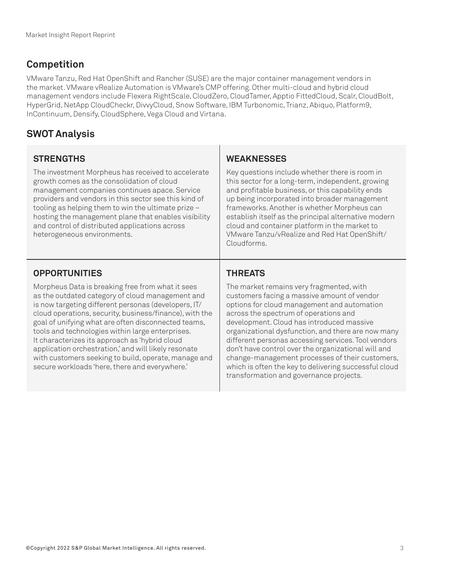## **Competition**

VMware Tanzu, Red Hat OpenShift and Rancher (SUSE) are the major container management vendors in the market. VMware vRealize Automation is VMware's CMP offering. Other multi-cloud and hybrid cloud management vendors include Flexera RightScale, CloudZero, CloudTamer, Apptio FittedCloud, Scalr, CloudBolt, HyperGrid, NetApp CloudCheckr, DivvyCloud, Snow Software, IBM Turbonomic, Trianz, Abiquo, Platform9, InContinuum, Densify, CloudSphere, Vega Cloud and Virtana.

## **SWOT Analysis**

#### **STRENGTHS**

The investment Morpheus has received to accelerate growth comes as the consolidation of cloud management companies continues apace. Service providers and vendors in this sector see this kind of tooling as helping them to win the ultimate prize – hosting the management plane that enables visibility and control of distributed applications across heterogeneous environments.

#### **WEAKNESSES**

Key questions include whether there is room in this sector for a long-term, independent, growing and profitable business, or this capability ends up being incorporated into broader management frameworks. Another is whether Morpheus can establish itself as the principal alternative modern cloud and container platform in the market to VMware Tanzu/vRealize and Red Hat OpenShift/ Cloudforms.

## **OPPORTUNITIES**

Morpheus Data is breaking free from what it sees as the outdated category of cloud management and is now targeting different personas (developers, IT/ cloud operations, security, business/finance), with the goal of unifying what are often disconnected teams, tools and technologies within large enterprises. It characterizes its approach as 'hybrid cloud application orchestration,' and will likely resonate with customers seeking to build, operate, manage and secure workloads 'here, there and everywhere.'

## **THREATS**

The market remains very fragmented, with customers facing a massive amount of vendor options for cloud management and automation across the spectrum of operations and development. Cloud has introduced massive organizational dysfunction, and there are now many different personas accessing services. Tool vendors don't have control over the organizational will and change-management processes of their customers, which is often the key to delivering successful cloud transformation and governance projects.